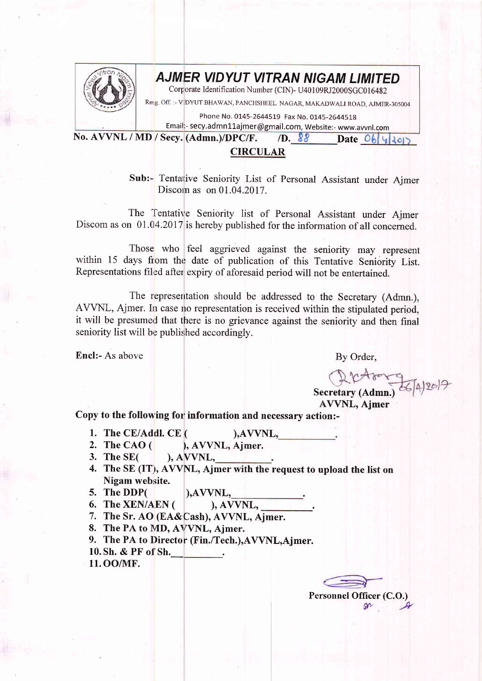

## **AJMER VIDYUT VITRAN NIGAM LIMITED**

Corporate Identification Number (CIN)- U40109RJ2000SGC016482

Resg off, :- V.DYUT BHAWAN, PANCHSHEEL NAGAR, MAKADWALI ROAD, AJMER-305004

Phone No. 0145-2644519 Fax No. 0145-2644518

Email:- secy.admn11ajmer@gmail.com, Website:- www.avvnl.com

No. AVVNL / MD / Secy. (Admn.)/DPC/F. /D.  $88$  Date Ob 4305 CIRCULAR

> Sub:- Tentarive Seniority List of Personal Assistant under Ajmer Discom as on 01.04.2017.

The Tentative Seniority list of Personal Assistant under Ajmer Discom as on 01.04.2017 is hereby published for the information of all concerned.

Those who feel aggrieved against the seniority may represent within 15 days from the date of publication of this Tentative Seniority List. Representations filed after expiry of aforesaid period will not be entertained.

The representation should be addressed to the Secretary (Admn.). AVVNL, Ajmer. In case no representation is received within the stipulated period, it will be presumed that there is no grievance against the seniority and then final seniority list will be published accordingly.

Encl:- As above By Order,

Secretary (Admn.) 0642019

AVVNL, Ajmer

Copy to the following for information and necessary action:-

- 1. The CE/Addl. CE  $($  ), AVVNL,
- 2. The CAO ( ), AWNL, Ajmer.
- 3. The SE( ), AWNL, .
- 4. The SE (IT), AVVNL, Ajmer with the request to upload the list on Nigam website.
- 

- 5. The DDP( $\begin{array}{c}$ ),AVVNL,<br>6. The XEN/AEN( $\end{array}$ ), AVVNL, 6. The XEN/AEN  $($
- 7. The Sr. AO (EA& Cash), AVVNL, Ajmer.
- 8. The PA to MD, AVVNL, Aimer.
- 9. The PA to Director (Fin./Tech.), AVVNL, Ajmer.
- 10. Sh. & PF of Sh.
- 11. OO/NIF.

Personnel Officer (C.O.)  $or$   $*$